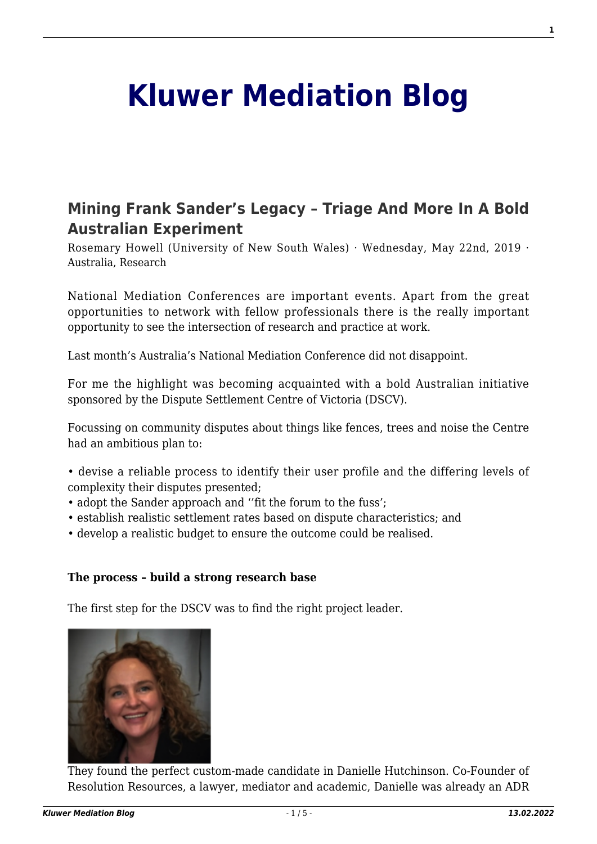# **[Kluwer Mediation Blog](http://mediationblog.kluwerarbitration.com/)**

# **[Mining Frank Sander's Legacy – Triage And More In A Bold](http://mediationblog.kluwerarbitration.com/2019/05/22/mining-frank-sanders-legacy-triage-and-more-in-a-bold-australian-experiment/) [Australian Experiment](http://mediationblog.kluwerarbitration.com/2019/05/22/mining-frank-sanders-legacy-triage-and-more-in-a-bold-australian-experiment/)**

Rosemary Howell (University of New South Wales) · Wednesday, May 22nd, 2019 · Australia, Research

National Mediation Conferences are important events. Apart from the great opportunities to network with fellow professionals there is the really important opportunity to see the intersection of research and practice at work.

Last month's Australia's National Mediation Conference did not disappoint.

For me the highlight was becoming acquainted with a bold Australian initiative sponsored by the Dispute Settlement Centre of Victoria (DSCV).

Focussing on community disputes about things like fences, trees and noise the Centre had an ambitious plan to:

- devise a reliable process to identify their user profile and the differing levels of complexity their disputes presented;
- adopt the Sander approach and ''fit the forum to the fuss';
- establish realistic settlement rates based on dispute characteristics; and
- develop a realistic budget to ensure the outcome could be realised.

#### **The process – build a strong research base**

The first step for the DSCV was to find the right project leader.



They found the perfect custom-made candidate in Danielle Hutchinson. Co-Founder of Resolution Resources, a lawyer, mediator and academic, Danielle was already an ADR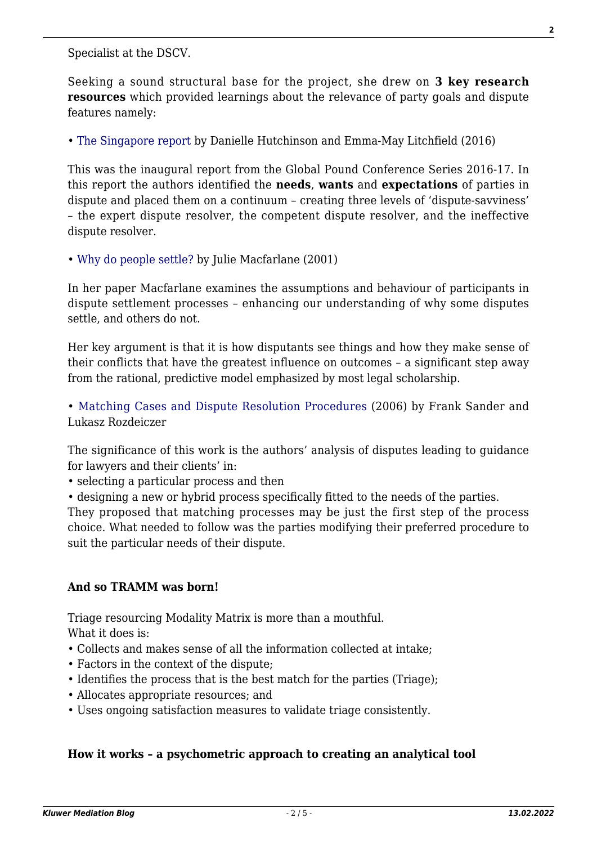Specialist at the DSCV.

Seeking a sound structural base for the project, she drew on **3 key research resources** which provided learnings about the relevance of party goals and dispute features namely:

• [The Singapore report](https://resolutionresources.files.wordpress.com/2019/01/gpc-series-the-singapore-report.pdf) by Danielle Hutchinson and Emma-May Litchfield (2016)

This was the inaugural report from the Global Pound Conference Series 2016-17. In this report the authors identified the **needs**, **wants** and **expectations** of parties in dispute and placed them on a continuum – creating three levels of 'dispute-savviness' – the expert dispute resolver, the competent dispute resolver, and the ineffective dispute resolver.

• [Why do people settle?](http://lawjournal.mcgill.ca/userfiles/other/2093864-46.3.Macfarlane.pdf) by Julie Macfarlane (2001)

In her paper Macfarlane examines the assumptions and behaviour of participants in dispute settlement processes – enhancing our understanding of why some disputes settle, and others do not.

Her key argument is that it is how disputants see things and how they make sense of their conflicts that have the greatest influence on outcomes – a significant step away from the rational, predictive model emphasized by most legal scholarship.

• [Matching Cases and Dispute Resolution Procedures](https://www.fd.unl.pt/docentes_docs/ma/AGON_MA_25763.pdf) (2006) by Frank Sander and Lukasz Rozdeiczer

The significance of this work is the authors' analysis of disputes leading to guidance for lawyers and their clients' in:

- selecting a particular process and then
- designing a new or hybrid process specifically fitted to the needs of the parties.

They proposed that matching processes may be just the first step of the process choice. What needed to follow was the parties modifying their preferred procedure to suit the particular needs of their dispute.

# **And so TRAMM was born!**

Triage resourcing Modality Matrix is more than a mouthful. What it does is:

- Collects and makes sense of all the information collected at intake;
- Factors in the context of the dispute;
- Identifies the process that is the best match for the parties (Triage);
- Allocates appropriate resources; and
- Uses ongoing satisfaction measures to validate triage consistently.

#### **How it works – a psychometric approach to creating an analytical tool**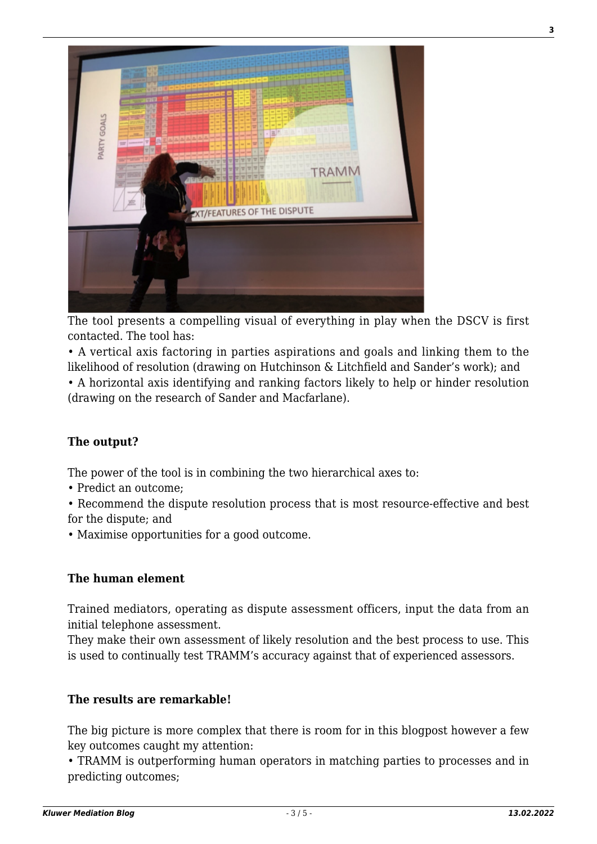

The tool presents a compelling visual of everything in play when the DSCV is first contacted. The tool has:

• A vertical axis factoring in parties aspirations and goals and linking them to the likelihood of resolution (drawing on Hutchinson & Litchfield and Sander's work); and • A horizontal axis identifying and ranking factors likely to help or hinder resolution (drawing on the research of Sander and Macfarlane).

# **The output?**

The power of the tool is in combining the two hierarchical axes to:

- Predict an outcome;
- Recommend the dispute resolution process that is most resource-effective and best for the dispute; and
- Maximise opportunities for a good outcome.

#### **The human element**

Trained mediators, operating as dispute assessment officers, input the data from an initial telephone assessment.

They make their own assessment of likely resolution and the best process to use. This is used to continually test TRAMM's accuracy against that of experienced assessors.

#### **The results are remarkable!**

The big picture is more complex that there is room for in this blogpost however a few key outcomes caught my attention:

• TRAMM is outperforming human operators in matching parties to processes and in predicting outcomes;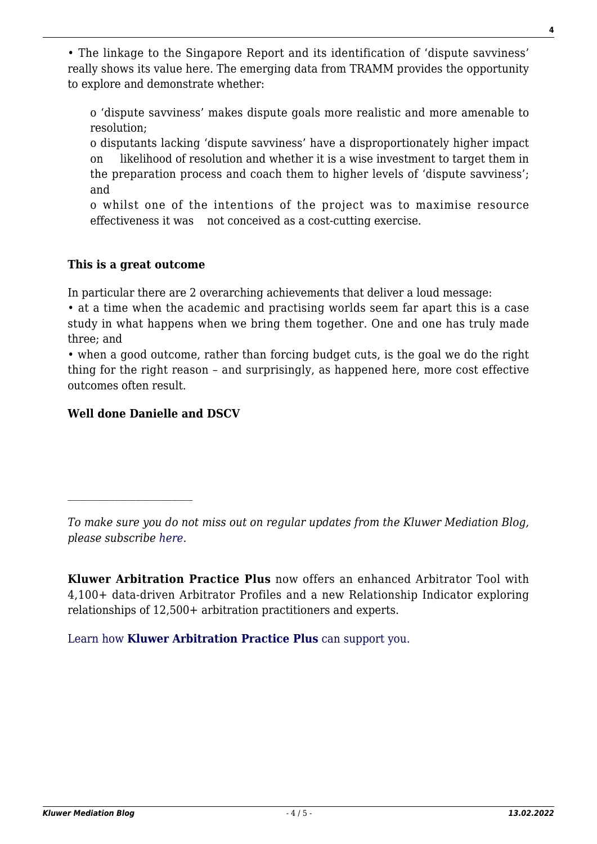• The linkage to the Singapore Report and its identification of 'dispute savviness' really shows its value here. The emerging data from TRAMM provides the opportunity to explore and demonstrate whether:

o 'dispute savviness' makes dispute goals more realistic and more amenable to resolution;

o disputants lacking 'dispute savviness' have a disproportionately higher impact on likelihood of resolution and whether it is a wise investment to target them in the preparation process and coach them to higher levels of 'dispute savviness'; and

o whilst one of the intentions of the project was to maximise resource effectiveness it was not conceived as a cost-cutting exercise.

### **This is a great outcome**

In particular there are 2 overarching achievements that deliver a loud message:

• at a time when the academic and practising worlds seem far apart this is a case study in what happens when we bring them together. One and one has truly made three; and

• when a good outcome, rather than forcing budget cuts, is the goal we do the right thing for the right reason – and surprisingly, as happened here, more cost effective outcomes often result.

# **Well done Danielle and DSCV**

*To make sure you do not miss out on regular updates from the Kluwer Mediation Blog, please subscribe [here.](http://mediationblog.kluwerarbitration.com/newsletter/)*

**Kluwer Arbitration Practice Plus** now offers an enhanced Arbitrator Tool with 4,100+ data-driven Arbitrator Profiles and a new Relationship Indicator exploring relationships of 12,500+ arbitration practitioners and experts.

[Learn how](https://www.wolterskluwer.com/en/solutions/kluwerarbitration/practiceplus?utm_source=mediationblog&utm_medium=articleCTA&utm_campaign=article-banner) **[Kluwer Arbitration Practice Plus](https://www.wolterskluwer.com/en/solutions/kluwerarbitration/practiceplus?utm_source=mediationblog&utm_medium=articleCTA&utm_campaign=article-banner)** [can support you.](https://www.wolterskluwer.com/en/solutions/kluwerarbitration/practiceplus?utm_source=mediationblog&utm_medium=articleCTA&utm_campaign=article-banner)